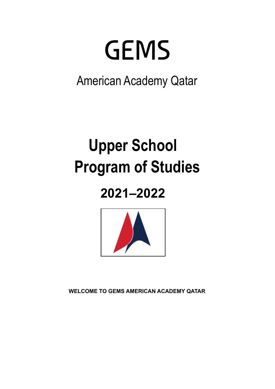# **GEMS**

American Academy Qatar

## **Upper School Program of Studies**

## **2021–2022**



**WELCOME TO GEMS AMERICAN ACADEMY QATAR**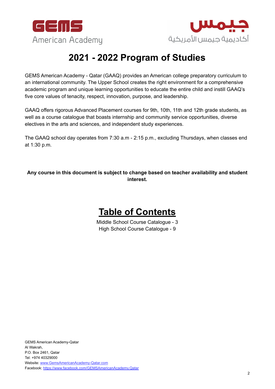



## **2021 - 2022 Program of Studies**

GEMS American Academy - Qatar (GAAQ) provides an American college preparatory curriculum to an international community. The Upper School creates the right environment for a comprehensive academic program and unique learning opportunities to educate the entire child and instill GAAQ's five core values of tenacity, respect, innovation, purpose, and leadership.

GAAQ offers rigorous Advanced Placement courses for 9th, 10th, 11th and 12th grade students, as well as a course catalogue that boasts internship and community service opportunities, diverse electives in the arts and sciences, and independent study experiences.

The GAAQ school day operates from 7:30 a.m - 2:15 p.m., excluding Thursdays, when classes end at 1:30 p.m.

**Any course in this document is subject to change based on teacher availability and student interest.**



Middle School Course Catalogue - 3 High School Course Catalogue - 9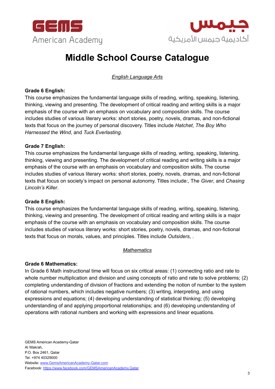



## **Middle School Course Catalogue**

*English Language Arts*

#### **Grade 6 English:**

This course emphasizes the fundamental language skills of reading, writing, speaking, listening, thinking, viewing and presenting. The development of critical reading and writing skills is a major emphasis of the course with an emphasis on vocabulary and composition skills. The course includes studies of various literary works: short stories, poetry, novels, dramas, and non-fictional texts that focus on the journey of personal discovery. Titles include *Hatchet*, *The Boy Who Harnessed the Wind*, and *Tuck Everlasting*.

#### **Grade 7 English:**

This course emphasizes the fundamental language skills of reading, writing, speaking, listening, thinking, viewing and presenting. The development of critical reading and writing skills is a major emphasis of the course with an emphasis on vocabulary and composition skills. The course includes studies of various literary works: short stories, poetry, novels, dramas, and non-fictional texts that focus on society's impact on personal autonomy. Titles include:, The *Giver*, and *Chasing Lincoln's Killer*.

#### **Grade 8 English:**

This course emphasizes the fundamental language skills of reading, writing, speaking, listening, thinking, viewing and presenting. The development of critical reading and writing skills is a major emphasis of the course with an emphasis on vocabulary and composition skills. The course includes studies of various literary works: short stories, poetry, novels, dramas, and non-fictional texts that focus on morals, values, and principles. Titles include *Outsiders*, .

#### *Mathematics*

#### **Grade 6 Mathematics:**

In Grade 6 Math instructional time will focus on six critical areas: (1) connecting ratio and rate to whole number multiplication and division and using concepts of ratio and rate to solve problems; (2) completing understanding of division of fractions and extending the notion of number to the system of rational numbers, which includes negative numbers; (3) writing, interpreting, and using expressions and equations; (4) developing understanding of statistical thinking; (5) developing understanding of and applying proportional relationships; and (6) developing understanding of operations with rational numbers and working with expressions and linear equations.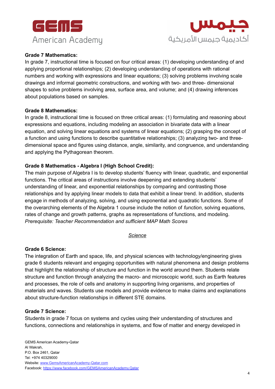



#### **Grade 7 Mathematics:**

In grade 7, instructional time is focused on four critical areas: (1) developing understanding of and applying proportional relationships; (2) developing understanding of operations with rational numbers and working with expressions and linear equations; (3) solving problems involving scale drawings and informal geometric constructions, and working with two- and three- dimensional shapes to solve problems involving area, surface area, and volume; and (4) drawing inferences about populations based on samples.

#### **Grade 8 Mathematics:**

In grade 8, instructional time is focused on three critical areas: (1) formulating and reasoning about expressions and equations, including modeling an association in bivariate data with a linear equation, and solving linear equations and systems of linear equations; (2) grasping the concept of a function and using functions to describe quantitative relationships; (3) analyzing two- and threedimensional space and figures using distance, angle, similarity, and congruence, and understanding and applying the Pythagorean theorem.

#### **Grade 8 Mathematics - Algebra I (High School Credit):**

The main purpose of Algebra I is to develop students' fluency with linear, quadratic, and exponential functions. The critical areas of instructions involve deepening and extending students' understanding of linear, and exponential relationships by comparing and contrasting those relationships and by applying linear models to data that exhibit a linear trend. In addition, students engage in methods of analyzing, solving, and using exponential and quadratic functions. Some of the overarching elements of the Algebra 1 course include the notion of *function*, solving equations, rates of change and growth patterns, graphs as representations of functions, and modeling. *Prerequisite: Teacher Recommendation and sufficient MAP Math Scores*

#### *Science*

#### **Grade 6 Science:**

The integration of Earth and space, life, and physical sciences with technology/engineering gives grade 6 students relevant and engaging opportunities with natural phenomena and design problems that highlight the relationship of structure and function in the world around them. Students relate structure and function through analyzing the macro- and microscopic world, such as Earth features and processes, the role of cells and anatomy in supporting living organisms, and properties of materials and waves. Students use models and provide evidence to make claims and explanations about structure-function relationships in different STE domains.

#### **Grade 7 Science:**

Students in grade 7 focus on systems and cycles using their understanding of structures and functions, connections and relationships in systems, and flow of matter and energy developed in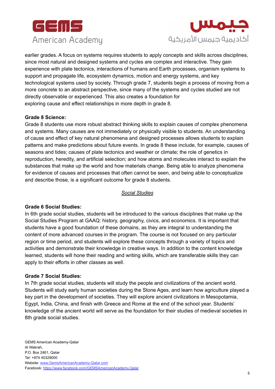



earlier grades. A focus on systems requires students to apply concepts and skills across disciplines, since most natural and designed systems and cycles are complex and interactive. They gain experience with plate tectonics, interactions of humans and Earth processes, organism systems to support and propagate life, ecosystem dynamics, motion and energy systems, and key technological systems used by society. Through grade 7, students begin a process of moving from a more concrete to an abstract perspective, since many of the systems and cycles studied are not directly observable or experienced. This also creates a foundation for exploring cause and effect relationships in more depth in grade 8.

#### **Grade 8 Science:**

Grade 8 students use more robust abstract thinking skills to explain causes of complex phenomena and systems. Many causes are not immediately or physically visible to students. An understanding of cause and effect of key natural phenomena and designed processes allows students to explain patterns and make predictions about future events. In grade 8 these include, for example, causes of seasons and tides; causes of plate tectonics and weather or climate; the role of genetics in reproduction, heredity, and artificial selection; and how atoms and molecules interact to explain the substances that make up the world and how materials change. Being able to analyze phenomena for evidence of causes and processes that often cannot be seen, and being able to conceptualize and describe those, is a significant outcome for grade 8 students.

#### *Social Studies*

#### **Grade 6 Social Studies:**

In 6th grade social studies, students will be introduced to the various disciplines that make up the Social Studies Program at GAAQ: history, geography, civics, and economics. It is important that students have a good foundation of these domains, as they are integral to understanding the content of more advanced courses in the program. The course is not focused on any particular region or time period, and students will explore these concepts through a variety of topics and activities and demonstrate their knowledge in creative ways. In addition to the content knowledge learned, students will hone their reading and writing skills, which are transferable skills they can apply to their efforts in other classes as well.

#### **Grade 7 Social Studies:**

In 7th grade social studies, students will study the people and civilizations of the ancient world. Students will study early human societies during the Stone Ages, and learn how agriculture played a key part in the development of societies. They will explore ancient civilizations in Mesopotamia, Egypt, India, China, and finish with Greece and Rome at the end of the school year. Students' knowledge of the ancient world will serve as the foundation for their studies of medieval societies in 8th grade social studies.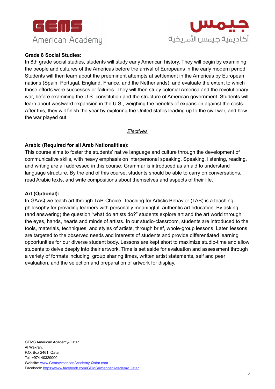



#### **Grade 8 Social Studies:**

In 8th grade social studies, students will study early American history. They will begin by examining the people and cultures of the Americas before the arrival of Europeans in the early modern period. Students will then learn about the preeminent attempts at settlement in the Americas by European nations (Spain, Portugal, England, France, and the Netherlands), and evaluate the extent to which those efforts were successes or failures. They will then study colonial America and the revolutionary war, before examining the U.S. constitution and the structure of American government. Students will learn about westward expansion in the U.S., weighing the benefits of expansion against the costs. After this, they will finish the year by exploring the United states leading up to the civil war, and how the war played out.

#### *Electives*

#### **Arabic (Required for all Arab Nationalities):**

This course aims to foster the students' native language and culture through the development of communicative skills, with heavy emphasis on interpersonal speaking. Speaking, listening, reading, and writing are all addressed in this course. Grammar is introduced as an aid to understand language structure. By the end of this course, students should be able to carry on conversations, read Arabic texts, and write compositions about themselves and aspects of their life.

#### **Art (Optional):**

In GAAQ we teach art through TAB-Choice. Teaching for Artistic Behavior (TAB) is a teaching philosophy for providing learners with personally meaningful, authentic art education. By asking (and answering) the question "what do artists do?" students explore art and the art world through the eyes, hands, hearts and minds of artists. In our studio-classroom, students are introduced to the tools, materials, techniques and styles of artists, through brief, whole-group lessons. Later, lessons are targeted to the observed needs and interests of students and provide differentiated learning opportunities for our diverse student body. Lessons are kept short to maximize studio-time and allow students to delve deeply into their artwork. Time is set aside for evaluation and assessment through a variety of formats including; group sharing times, written artist statements, self and peer evaluation, and the selection and preparation of artwork for display.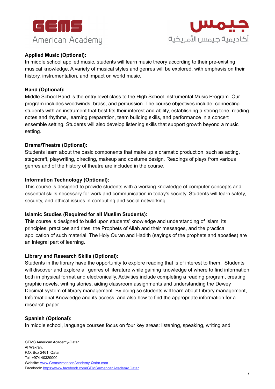



#### **Applied Music (Optional):**

In middle school applied music, students will learn music theory according to their pre-existing musical knowledge. A variety of musical styles and genres will be explored, with emphasis on their history, instrumentation, and impact on world music.

#### **Band (Optional):**

Middle School Band is the entry level class to the High School Instrumental Music Program. Our program includes woodwinds, brass, and percussion. The course objectives include: connecting students with an instrument that best fits their interest and ability, establishing a strong tone, reading notes and rhythms, learning preparation, team building skills, and performance in a concert ensemble setting. Students will also develop listening skills that support growth beyond a music setting.

#### **Drama/Theatre (Optional):**

Students learn about the basic components that make up a dramatic production, such as acting, stagecraft, playwriting, directing, makeup and costume design. Readings of plays from various genres and of the history of theatre are included in the course.

#### **Information Technology (Optional):**

This course is designed to provide students with a working knowledge of computer concepts and essential skills necessary for work and communication in today's society. Students will learn safety, security, and ethical issues in computing and social networking.

#### **Islamic Studies (Required for all Muslim Students):**

This course is designed to build upon students' knowledge and understanding of Islam, its principles, practices and rites, the Prophets of Allah and their messages, and the practical application of such material. The Holy Quran and Hadith (sayings of the prophets and apostles) are an integral part of learning.

#### **Library and Research Skills (Optional):**

Students in the library have the opportunity to explore reading that is of interest to them. Students will discover and explore all genres of literature while gaining knowledge of where to find information both in physical format and electronically. Activities include completing a reading program, creating graphic novels, writing stories, aiding classroom assignments and understanding the Dewey Decimal system of library management. By doing so students will learn about Library management, Informational Knowledge and its access, and also how to find the appropriate information for a research paper.

#### **Spanish (Optional):**

In middle school, language courses focus on four key areas: listening, speaking, writing and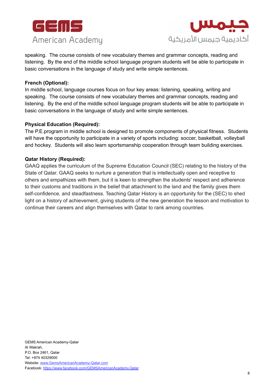



speaking. The course consists of new vocabulary themes and grammar concepts, reading and listening. By the end of the middle school language program students will be able to participate in basic conversations in the language of study and write simple sentences.

#### **French (Optional):**

In middle school, language courses focus on four key areas: listening, speaking, writing and speaking. The course consists of new vocabulary themes and grammar concepts, reading and listening. By the end of the middle school language program students will be able to participate in basic conversations in the language of study and write simple sentences.

#### **Physical Education (Required):**

The P.E.program in middle school is designed to promote components of physical fitness. Students will have the opportunity to participate in a variety of sports including: soccer, basketball, volleyball and hockey. Students will also learn sportsmanship cooperation through team building exercises.

#### **Qatar History (Required):**

GAAQ applies the curriculum of the Supreme Education Council (SEC) relating to the history of the State of Qatar. GAAQ seeks to nurture a generation that is intellectually open and receptive to others and empathizes with them, but it is keen to strengthen the students' respect and adherence to their customs and traditions in the belief that attachment to the land and the family gives them self-confidence, and steadfastness. Teaching Qatar History is an opportunity for the (SEC) to shed light on a history of achievement, giving students of the new generation the lesson and motivation to continue their careers and align themselves with Qatar to rank among countries.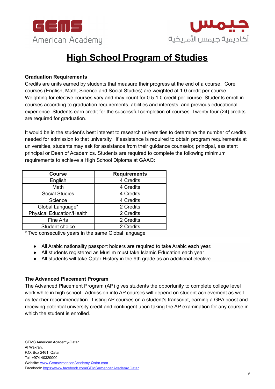



## **High School Program of Studies**

#### **Graduation Requirements**

Credits are units earned by students that measure their progress at the end of a course. Core courses (English, Math, Science and Social Studies) are weighted at 1.0 credit per course. Weighting for elective courses vary and may count for 0.5-1.0 credit per course. Students enroll in courses according to graduation requirements, abilities and interests, and previous educational experience. Students earn credit for the successful completion of courses. Twenty-four (24) credits are required for graduation.

It would be in the student's best interest to research universities to determine the number of credits needed for admission to that university. If assistance is required to obtain program requirements at universities, students may ask for assistance from their guidance counselor, principal, assistant principal or Dean of Academics. Students are required to complete the following minimum requirements to achieve a High School Diploma at GAAQ:

| <b>Course</b>                    | <b>Requirements</b> |
|----------------------------------|---------------------|
| English                          | 4 Credits           |
| Math                             | 4 Credits           |
| <b>Social Studies</b>            | 4 Credits           |
| Science                          | 4 Credits           |
| Global Language*                 | 2 Credits           |
| <b>Physical Education/Health</b> | 2 Credits           |
| <b>Fine Arts</b>                 | 2 Credits           |
| Student choice                   | 2 Credits           |

\* Two consecutive years in the same Global language

- All Arabic nationality passport holders are required to take Arabic each year.
- All students registered as Muslim must take Islamic Education each year.
- All students will take Qatar History in the 9th grade as an additional elective.

#### **The Advanced Placement Program**

The Advanced Placement Program (AP) gives students the opportunity to complete college level work while in high school. Admission into AP courses will depend on student achievement as well as teacher recommendation. Listing AP courses on a student's transcript, earning a GPA boost and receiving potential university credit and contingent upon taking the AP examination for any course in which the student is enrolled.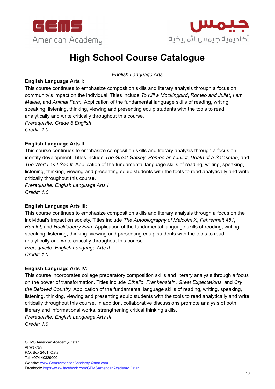



## **High School Course Catalogue**

*English Language Arts*

#### **English Language Arts I**:

This course continues to emphasize composition skills and literary analysis through a focus on community's impact on the individual. Titles include *To Kill a Mockingbird*, *Romeo and Juliet*, *I am Malala*, and *Animal Farm.* Application of the fundamental language skills of reading, writing, speaking, listening, thinking, viewing and presenting equip students with the tools to read analytically and write critically throughout this course. *Prerequisite: Grade 8 English*

*Credit: 1.0*

#### **English Language Arts II**:

This course continues to emphasize composition skills and literary analysis through a focus on identity development. Titles include *The Great Gatsby*, *Romeo and Juliet, Death of a Salesman*, and *The World as I See It.* Application of the fundamental language skills of reading, writing, speaking, listening, thinking, viewing and presenting equip students with the tools to read analytically and write critically throughout this course.

*Prerequisite: English Language Arts I Credit: 1.0*

#### **English Language Arts III:**

This course continues to emphasize composition skills and literary analysis through a focus on the individual's impact on society. Titles include *The Autobiography of Malcolm X*, *Fahrenheit 451*, *Hamlet*, and *Huckleberry Finn.* Application of the fundamental language skills of reading, writing, speaking, listening, thinking, viewing and presenting equip students with the tools to read analytically and write critically throughout this course.

*Prerequisite: English Language Arts II Credit: 1.0*

#### **English Language Arts IV:**

This course incorporates college preparatory composition skills and literary analysis through a focus on the power of transformation. Titles include *Othello*, *Frankenstein*, *Great Expectations*, and *Cry the Beloved Country.* Application of the fundamental language skills of reading, writing, speaking, listening, thinking, viewing and presenting equip students with the tools to read analytically and write critically throughout this course. In addition, collaborative discussions promote analysis of both literary and informational works, strengthening critical thinking skills.

*Prerequisite: English Language Arts III Credit: 1.0*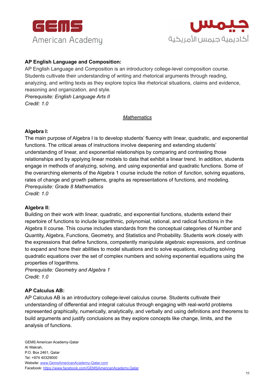



#### **AP English Language and Composition:**

AP English Language and Composition is an introductory college-level composition course. Students cultivate their understanding of writing and rhetorical arguments through reading, analyzing, and writing texts as they explore topics like rhetorical situations, claims and evidence, reasoning and organization, and style. *Prerequisite: English Language Arts II*

*Credit: 1.0*

#### *Mathematics*

#### **Algebra I:**

The main purpose of Algebra I is to develop students' fluency with linear, quadratic, and exponential functions. The critical areas of instructions involve deepening and extending students' understanding of linear, and exponential relationships by comparing and contrasting those relationships and by applying linear models to data that exhibit a linear trend. In addition, students engage in methods of analyzing, solving, and using exponential and quadratic functions. Some of the overarching elements of the Algebra 1 course include the notion of *function*, solving equations, rates of change and growth patterns, graphs as representations of functions, and modeling. *Prerequisite: Grade 8 Mathematics*

*Credit: 1.0*

#### **Algebra II:**

Building on their work with linear, quadratic, and exponential functions, students extend their repertoire of functions to include logarithmic, polynomial, rational, and radical functions in the Algebra II course. This course includes standards from the conceptual categories of Number and Quantity, Algebra, Functions, Geometry, and Statistics and Probability. Students work closely with the expressions that define functions, competently manipulate algebraic expressions, and continue to expand and hone their abilities to model situations and to solve equations, including solving quadratic equations over the set of complex numbers and solving exponential equations using the properties of logarithms.

*Prerequisite: Geometry and Algebra 1 Credit: 1.0*

#### **AP Calculus AB:**

AP Calculus AB is an introductory college-level calculus course. Students cultivate their understanding of differential and integral calculus through engaging with real-world problems represented graphically, numerically, analytically, and verbally and using definitions and theorems to build arguments and justify conclusions as they explore concepts like change, limits, and the analysis of functions.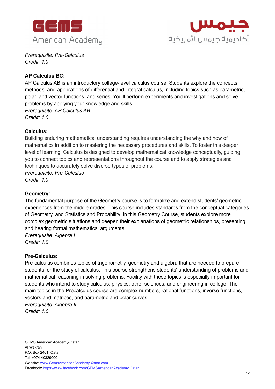



*Prerequisite: Pre-Calculus Credit: 1.0*

#### **AP Calculus BC:**

AP Calculus AB is an introductory college-level calculus course. Students explore the concepts, methods, and applications of differential and integral calculus, including topics such as parametric, polar, and vector functions, and series. You'll perform experiments and investigations and solve problems by applying your knowledge and skills. *Prerequisite: AP Calculus AB*

*Credit: 1.0*

#### **Calculus:**

Building enduring mathematical understanding requires understanding the why and how of mathematics in addition to mastering the necessary procedures and skills. To foster this deeper level of learning, Calculus is designed to develop mathematical knowledge conceptually, guiding you to connect topics and representations throughout the course and to apply strategies and techniques to accurately solve diverse types of problems.

*Prerequisite: Pre-Calculus Credit: 1.0*

#### **Geometry:**

The fundamental purpose of the Geometry course is to formalize and extend students' geometric experiences from the middle grades. This course includes standards from the conceptual categories of Geometry, and Statistics and Probability. In this Geometry Course, students explore more complex geometric situations and deepen their explanations of geometric relationships, presenting and hearing formal mathematical arguments.

*Prerequisite: Algebra I Credit: 1.0*

#### **Pre-Calculus:**

Pre-calculus combines topics of trigonometry, geometry and algebra that are needed to prepare students for the study of calculus. This course strengthens students' understanding of problems and mathematical reasoning in solving problems. Facility with these topics is especially important for students who intend to study calculus, physics, other sciences, and engineering in college. The main topics in the Precalculus course are complex numbers, rational functions, inverse functions, vectors and matrices, and parametric and polar curves.

*Prerequisite: Algebra II Credit: 1.0*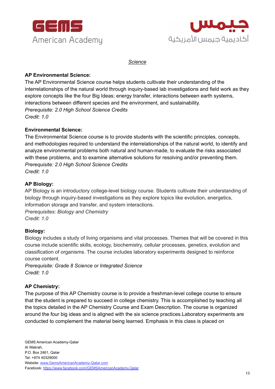



*Science*

#### **AP Environmental Science:**

The AP Environmental Science course helps students cultivate their understanding of the interrelationships of the natural world through inquiry-based lab investigations and field work as they explore concepts like the four Big Ideas; energy transfer, interactions between earth systems, interactions between different species and the environment, and sustainability. *Prerequisite: 2.0 High School Science Credits Credit: 1.0*

#### **Environmental Science:**

The Environmental Science course is to provide students with the scientific principles, concepts, and methodologies required to understand the interrelationships of the natural world, to identify and analyze environmental problems both natural and human-made, to evaluate the risks associated with these problems, and to examine alternative solutions for resolving and/or preventing them. *Prerequisite: 2.0 High School Science Credits Credit: 1.0*

#### **AP Biology:**

AP Biology is an introductory college-level biology course. Students cultivate their understanding of biology through inquiry-based investigations as they explore topics like evolution, energetics, information storage and transfer, and system interactions.

*Prerequisites: Biology and Chemistry Credit: 1.0*

#### **Biology:**

Biology includes a study of living organisms and vital processes. Themes that will be covered in this course include scientific skills, ecology, biochemistry, cellular processes, genetics, evolution and classification of organisms. The course includes laboratory experiments designed to reinforce course content.

*Prerequisite: Grade 8 Science or Integrated Science Credit: 1.0*

#### **AP Chemistry:**

The purpose of this AP Chemistry course is to provide a freshman-level college course to ensure that the student is prepared to succeed in college chemistry. This is accomplished by teaching all the topics detailed in the AP Chemistry Course and Exam Description. The course is organized around the four big ideas and is aligned with the six science practices.Laboratory experiments are conducted to complement the material being learned. Emphasis in this class is placed on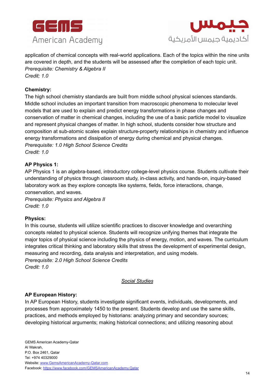



application of chemical concepts with real-world applications. Each of the topics within the nine units are covered in depth, and the students will be assessed after the completion of each topic unit. *Prerequisite: Chemistry & Algebra II*

*Credit; 1.0*

#### **Chemistry:**

The high school chemistry standards are built from middle school physical sciences standards. Middle school includes an important transition from macroscopic phenomena to molecular level models that are used to explain and predict energy transformations in phase changes and conservation of matter in chemical changes, including the use of a basic particle model to visualize and represent physical changes of matter. In high school, students consider how structure and composition at sub-atomic scales explain structure-property relationships in chemistry and influence energy transformations and dissipation of energy during chemical and physical changes. *Prerequisite: 1.0 High School Science Credits Credit: 1.0*

#### **AP Physics 1:**

AP Physics 1 is an algebra-based, introductory college-level physics course. Students cultivate their understanding of physics through classroom study, in-class activity, and hands-on, inquiry-based laboratory work as they explore concepts like systems, fields, force interactions, change, conservation, and waves.

*Prerequisite: Physics and Algebra II Credit: 1.0*

#### **Physics:**

In this course, students will utilize scientific practices to discover knowledge and overarching concepts related to physical science. Students will recognize unifying themes that integrate the major topics of physical science including the physics of energy, motion, and waves. The curriculum integrates critical thinking and laboratory skills that stress the development of experimental design, measuring and recording, data analysis and interpretation, and using models. *Prerequisite: 2.0 High School Science Credits Credit: 1.0*

#### *Social Studies*

#### **AP European History:**

In AP European History, students investigate significant events, individuals, developments, and processes from approximately 1450 to the present. Students develop and use the same skills, practices, and methods employed by historians: analyzing primary and secondary sources; developing historical arguments; making historical connections; and utilizing reasoning about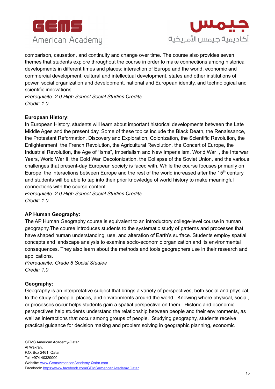



comparison, causation, and continuity and change over time. The course also provides seven themes that students explore throughout the course in order to make connections among historical developments in different times and places: interaction of Europe and the world, economic and commercial development, cultural and intellectual development, states and other institutions of power, social organization and development, national and European identity, and technological and scientific innovations.

*Prerequisite: 2.0 High School Social Studies Credits Credit: 1.0*

#### **European History:**

In European History, students will learn about important historical developments between the Late Middle Ages and the present day. Some of these topics include the Black Death, the Renaissance, the Protestant Reformation, Discovery and Exploration, Colonization, the Scientific Revolution, the Enlightenment, the French Revolution, the Agricultural Revolution, the Concert of Europe, the Industrial Revolution, the Age of "Isms", Imperialism and New Imperialism, World War I, the Interwar Years, World War II, the Cold War, Decolonization, the Collapse of the Soviet Union, and the various challenges that present-day European society is faced with. While the course focuses primarily on Europe, the interactions between Europe and the rest of the world increased after the  $15<sup>th</sup>$  century, and students will be able to tap into their prior knowledge of world history to make meaningful connections with the course content.

*Prerequisite: 2.0 High School Social Studies Credits Credit: 1.0*

#### **AP Human Geography:**

The AP Human Geography course is equivalent to an introductory college-level course in human geography.The course introduces students to the systematic study of patterns and processes that have shaped human understanding, use, and alteration of Earth's surface. Students employ spatial concepts and landscape analysis to examine socio-economic organization and its environmental consequences. They also learn about the methods and tools geographers use in their research and applications.

*Prerequisite: Grade 8 Social Studies Credit: 1.0*

#### **Geography:**

Geography is an interpretative subject that brings a variety of perspectives, both social and physical, to the study of people, places, and environments around the world. Knowing where physical, social, or processes occur helps students gain a spatial perspective on them. Historic and economic perspectives help students understand the relationship between people and their environments, as well as interactions that occur among groups of people. Studying geography, students receive practical guidance for decision making and problem solving in geographic planning, economic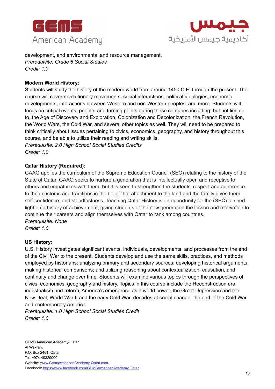



development, and environmental and resource management. *Prerequisite: Grade 8 Social Studies Credit: 1.0*

#### **Modern World History:**

Students will study the history of the modern world from around 1450 C.E. through the present. The course will cover revolutionary movements, social interactions, political ideologies, economic developments, interactions between Western and non-Western peoples, and more. Students will focus on critical events, people, and turning points during these centuries including, but not limited to, the Age of Discovery and Exploration, Colonization and Decolonization, the French Revolution, the World Wars, the Cold War, and several other topics as well. They will need to be prepared to think critically about issues pertaining to civics, economics, geography, and history throughout this course, and be able to utilize their reading and writing skills. *Prerequisite: 2.0 High School Social Studies Credits*

*Credit: 1.0*

#### **Qatar History (Required):**

GAAQ applies the curriculum of the Supreme Education Council (SEC) relating to the history of the State of Qatar. GAAQ seeks to nurture a generation that is intellectually open and receptive to others and empathizes with them, but it is keen to strengthen the students' respect and adherence to their customs and traditions in the belief that attachment to the land and the family gives them self-confidence, and steadfastness. Teaching Qatar History is an opportunity for the (SEC) to shed light on a history of achievement, giving students of the new generation the lesson and motivation to continue their careers and align themselves with Qatar to rank among countries. *Prerequisite: None*

*Credit: 1.0*

#### **US History:**

U.S. History investigates significant events, individuals, developments, and processes from the end of the Civil War to the present. Students develop and use the same skills, practices, and methods employed by historians: analyzing primary and secondary sources; developing historical arguments; making historical comparisons; and utilizing reasoning about contextualization, causation, and continuity and change over time. Students will examine various topics through the perspectives of civics, economics, geography and history. Topics in this course include the Reconstruction era, industrialism and reform, America's emergence as a world power, the Great Depression and the New Deal, World War II and the early Cold War, decades of social change, the end of the Cold War, and contemporary America.

*Prerequisite: 1.0 High School Social Studies Credit Credit: 1.0*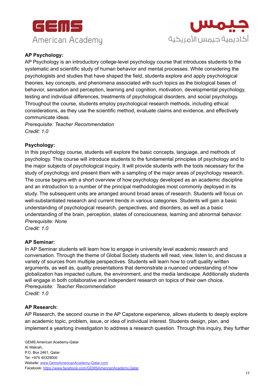



#### **AP Psychology:**

AP Psychology is an introductory college-level psychology course that introduces students to the systematic and scientific study of human behavior and mental processes. While considering the psychologists and studies that have shaped the field, students explore and apply psychological theories, key concepts, and phenomena associated with such topics as the biological bases of behavior, sensation and perception, learning and cognition, motivation, developmental psychology, testing and individual differences, treatments of psychological disorders, and social psychology. Throughout the course, students employ psychological research methods, including ethical considerations, as they use the scientific method, evaluate claims and evidence, and effectively communicate ideas.

*Prerequisite: Teacher Recommendation Credit: 1.0*

#### **Psychology:**

In this psychology course, students will explore the basic concepts, language, and methods of psychology. This course will introduce students to the fundamental principles of psychology and to the major subjects of psychological inquiry. It will provide students with the tools necessary for the study of psychology and present them with a sampling of the major areas of psychology research. The course begins with a short overview of how psychology developed as an academic discipline and an introduction to a number of the principal methodologies most commonly deployed in its study. The subsequent units are arranged around broad areas of research. Students will focus on well-substantiated research and current trends in various categories. Students will gain a basic understanding of psychological research, perspectives, and disorders, as well as a basic understanding of the brain, perception, states of consciousness, learning and abnormal behavior. *Prerequisite: None*

*Credit: 1.0*

#### **AP Seminar:**

In AP Seminar students will learn how to engage in university level academic research and conversation. Through the theme of Global Society students will read, view, listen to, and discuss a variety of sources from multiple perspectives. Students will learn how to craft quality written arguments, as well as, quality presentations that demonstrate a nuanced understanding of how globalization has impacted culture, the environment, and the media landscape. Additionally students will engage in both collaborative and independent research on topics of their own choice. *Prerequisite: Teacher Recommendation Credit: 1.0*

#### **AP Research:**

AP Research, the second course in the AP Capstone experience, allows students to deeply explore an academic topic, problem, issue, or idea of individual interest. Students design, plan, and implement a yearlong investigation to address a research question. Through this inquiry, they further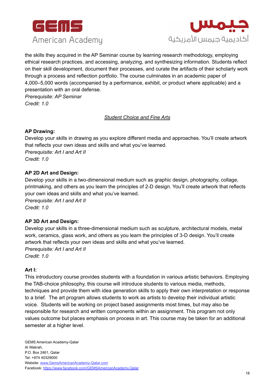



the skills they acquired in the AP Seminar course by learning research methodology, employing ethical research practices, and accessing, analyzing, and synthesizing information. Students reflect on their skill development, document their processes, and curate the artifacts of their scholarly work through a process and reflection portfolio. The course culminates in an academic paper of 4,000–5,000 words (accompanied by a performance, exhibit, or product where applicable) and a presentation with an oral defense.

*Prerequisite: AP Seminar Credit: 1.0*

#### *Student Choice and Fine Arts*

#### **AP Drawing:**

Develop your skills in drawing as you explore different media and approaches. You'll create artwork that reflects your own ideas and skills and what you've learned. *Prerequisite: Art I and Art II Credit: 1.0*

#### **AP 2D Art and Design:**

Develop your skills in a two-dimensional medium such as graphic design, photography, collage, printmaking, and others as you learn the principles of 2-D design. You'll create artwork that reflects your own ideas and skills and what you've learned.

*Prerequisite: Art I and Art II Credit: 1.0*

#### **AP 3D Art and Design:**

Develop your skills in a three-dimensional medium such as sculpture, architectural models, metal work, ceramics, glass work, and others as you learn the principles of 3-D design. You'll create artwork that reflects your own ideas and skills and what you've learned. *Prerequisite: Art I and Art II Credit: 1.0*

#### **Art I:**

This introductory course provides students with a foundation in various artistic behaviors. Employing the TAB-choice philosophy, this course will introduce students to various media, methods, techniques and provide them with idea generation skills to apply their own interpretation or response to a brief. The art program allows students to work as artists to develop their individual artistic voice. Students will be working on project based assignments most times, but may also be responsible for research and written components within an assignment. This program not only values outcome but places emphasis on process in art. This course may be taken for an additional semester at a higher level.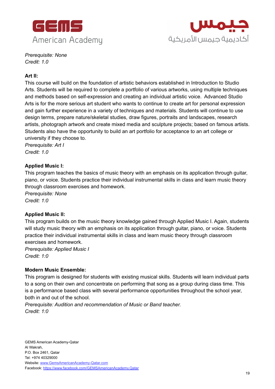



*Prerequisite: None Credit: 1.0*

#### **Art II:**

This course will build on the foundation of artistic behaviors established in Introduction to Studio Arts. Students will be required to complete a portfolio of various artworks, using multiple techniques and methods based on self-expression and creating an individual artistic voice. Advanced Studio Arts is for the more serious art student who wants to continue to create art for personal expression and gain further experience in a variety of techniques and materials. Students will continue to use design terms, prepare nature/skeletal studies, draw figures, portraits and landscapes, research artists, photograph artwork and create mixed media and sculpture projects; based on famous artists. Students also have the opportunity to build an art portfolio for acceptance to an art college or university if they choose to.

*Prerequisite: Art I Credit: 1.0*

#### **Applied Music I:**

This program teaches the basics of music theory with an emphasis on its application through guitar, piano, or voice. Students practice their individual instrumental skills in class and learn music theory through classroom exercises and homework.

*Prerequisite: None Credit: 1:0*

#### **Applied Music II:**

This program builds on the music theory knowledge gained through Applied Music I. Again, students will study music theory with an emphasis on its application through guitar, piano, or voice. Students practice their individual instrumental skills in class and learn music theory through classroom exercises and homework.

*Prerequisite: Applied Music I Credit: 1:0*

#### **Modern Music Ensemble:**

This program is designed for students with existing musical skills. Students will learn individual parts to a song on their own and concentrate on performing that song as a group during class time. This is a performance based class with several performance opportunities throughout the school year, both in and out of the school.

*Prerequisite: Audition and recommendation of Music or Band teacher. Credit: 1:0*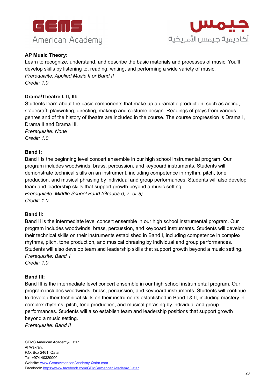



#### **AP Music Theory:**

Learn to recognize, understand, and describe the basic materials and processes of music. You'll develop skills by listening to, reading, writing, and performing a wide variety of music. *Prerequisite: Applied Music II or Band II Credit: 1.0*

#### **Drama/Theatre I, II, III:**

Students learn about the basic components that make up a dramatic production, such as acting, stagecraft, playwriting, directing, makeup and costume design. Readings of plays from various genres and of the history of theatre are included in the course. The course progression is Drama I, Drama II and Drama III.

*Prerequisite: None Credit: 1.0*

#### **Band I:**

Band I is the beginning level concert ensemble in our high school instrumental program. Our program includes woodwinds, brass, percussion, and keyboard instruments. Students will demonstrate technical skills on an instrument, including competence in rhythm, pitch, tone production, and musical phrasing by individual and group performances. Students will also develop team and leadership skills that support growth beyond a music setting. *Prerequisite: Middle School Band (Grades 6, 7, or 8) Credit: 1.0*

#### **Band II:**

Band II is the intermediate level concert ensemble in our high school instrumental program. Our program includes woodwinds, brass, percussion, and keyboard instruments. Students will develop their technical skills on their instruments established in Band I, including competence in complex rhythms, pitch, tone production, and musical phrasing by individual and group performances. Students will also develop team and leadership skills that support growth beyond a music setting. *Prerequisite: Band 1*

*Credit: 1.0*

#### **Band III:**

Band III is the intermediate level concert ensemble in our high school instrumental program. Our program includes woodwinds, brass, percussion, and keyboard instruments. Students will continue to develop their technical skills on their instruments established in Band I & II, including mastery in complex rhythms, pitch, tone production, and musical phrasing by individual and group performances. Students will also establish team and leadership positions that support growth beyond a music setting.

*Prerequisite: Band II*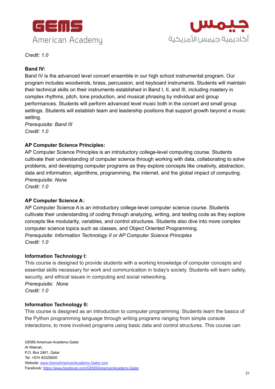



*Credit: 1.0*

#### **Band IV:**

Band IV is the advanced level concert ensemble in our high school instrumental program. Our program includes woodwinds, brass, percussion, and keyboard instruments. Students will maintain their technical skills on their instruments established in Band I, II, and III, including mastery in complex rhythms, pitch, tone production, and musical phrasing by individual and group performances. Students will perform advanced level music both in the concert and small group settings. Students will establish team and leadership positions that support growth beyond a music setting.

*Prerequisite: Band III Credit: 1.0*

#### **AP Computer Science Principles:**

AP Computer Science Principles is an introductory college-level computing course. Students cultivate their understanding of computer science through working with data, collaborating to solve problems, and developing computer programs as they explore concepts like creativity, abstraction, data and information, algorithms, programming, the internet, and the global impact of computing. *Prerequisite: None*

*Credit: 1.0*

#### **AP Computer Science A:**

AP Computer Science A is an introductory college-level computer science course. Students cultivate their understanding of coding through analyzing, writing, and testing code as they explore concepts like modularity, variables, and control structures. Students also dive into more complex computer science topics such as classes, and Object Oriented Programming. *Prerequisite: Information Technology II or AP Computer Science Principles Credit: 1.0*

#### **Information Technology I:**

This course is designed to provide students with a working knowledge of computer concepts and essential skills necessary for work and communication in today's society. Students will learn safety, security, and ethical issues in computing and social networking. *Prerequisite: None Credit: 1.0*

#### **Information Technology II:**

This course is designed as an introduction to computer programming. Students learn the basics of the Python programming language through writing programs ranging from simple console interactions, to more involved programs using basic data and control structures. This course can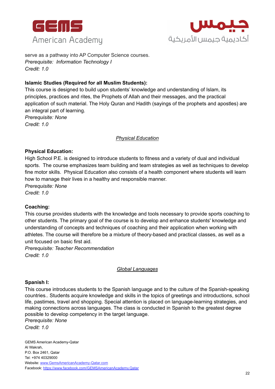



serve as a pathway into AP Computer Science courses. *Prerequisite: Information Technology I Credit: 1.0*

#### **Islamic Studies (Required for all Muslim Students):**

This course is designed to build upon students' knowledge and understanding of Islam, its principles, practices and rites, the Prophets of Allah and their messages, and the practical application of such material. The Holy Quran and Hadith (sayings of the prophets and apostles) are an integral part of learning.

*Prerequisite: None Credit: 1.0*

#### *Physical Education*

#### **Physical Education:**

High School P.E. is designed to introduce students to fitness and a variety of dual and individual sports. The course emphasizes team building and team strategies as well as techniques to develop fine motor skills. Physical Education also consists of a health component where students will learn how to manage their lives in a healthy and responsible manner. *Prerequisite: None*

*Credit: 1.0*

#### **Coaching:**

This course provides students with the knowledge and tools necessary to provide sports coaching to other students. The primary goal of the course is to develop and enhance students' knowledge and understanding of concepts and techniques of coaching and their application when working with athletes. The course will therefore be a mixture of theory-based and practical classes, as well as a unit focused on basic first aid.

*Prerequisite: Teacher Recommendation Credit: 1.0*

#### *Global Languages*

#### **Spanish I:**

This course introduces students to the Spanish language and to the culture of the Spanish-speaking countries.. Students acquire knowledge and skills in the topics of greetings and introductions, school life, pastimes, travel and shopping. Special attention is placed on language-learning strategies, and making connections across languages. The class is conducted in Spanish to the greatest degree possible to develop competency in the target language.

*Prerequisite: None*

*Credit: 1.0*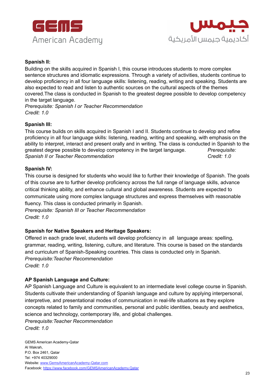



#### **Spanish II:**

Building on the skills acquired in Spanish I, this course introduces students to more complex sentence structures and idiomatic expressions. Through a variety of activities, students continue to develop proficiency in all four language skills: listening, reading, writing and speaking. Students are also expected to read and listen to authentic sources on the cultural aspects of the themes covered.The class is conducted in Spanish to the greatest degree possible to develop competency in the target language.

*Prerequisite: Spanish I or Teacher Recommendation Credit: 1.0*

#### **Spanish III:**

This course builds on skills acquired in Spanish I and II. Students continue to develop and refine proficiency in all four language skills: listening, reading, writing and speaking, with emphasis on the ability to interpret, interact and present orally and in writing. The class is conducted in Spanish to the greatest degree possible to develop competency in the target language. *Prerequisite: Spanish II or Teacher Recommendation Credit: 1.0*

#### **Spanish IV:**

This course is designed for students who would like to further their knowledge of Spanish. The goals of this course are to further develop proficiency across the full range of language skills, advance critical thinking ability, and enhance cultural and global awareness. Students are expected to communicate using more complex language structures and express themselves with reasonable fluency. This class is conducted primarily in Spanish.

*Prerequisite: Spanish III or Teacher Recommendation Credit: 1.0*

#### **Spanish for Native Speakers and Heritage Speakers:**

Offered in each grade level, students will develop proficiency in all language areas: spelling, grammar, reading, writing, listening, culture, and literature. This course is based on the standards and curriculum of Spanish-Speaking countries. This class is conducted only in Spanish. *Prerequisite:Teacher Recommendation Credit: 1.0*

#### **AP Spanish Language and Culture:**

AP Spanish Language and Culture is equivalent to an intermediate level college course in Spanish. Students cultivate their understanding of Spanish language and culture by applying interpersonal, interpretive, and presentational modes of communication in real-life situations as they explore concepts related to family and communities, personal and public identities, beauty and aesthetics, science and technology, contemporary life, and global challenges.

*Prerequisite:Teacher Recommendation*

*Credit: 1.0*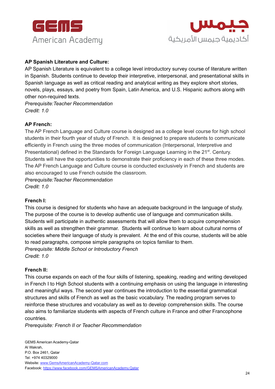



#### **AP Spanish Literature and Culture:**

AP Spanish Literature is equivalent to a college level introductory survey course of literature written in Spanish. Students continue to develop their interpretive, interpersonal, and presentational skills in Spanish language as well as critical reading and analytical writing as they explore short stories, novels, plays, essays, and poetry from Spain, Latin America, and U.S. Hispanic authors along with other non-required texts.

*Prerequisite:Teacher Recommendation Credit: 1.0*

#### **AP French:**

The AP French Language and Culture course is designed as a college level course for high school students in their fourth year of study of French. It is designed to prepare students to communicate efficiently in French using the three modes of communication (Interpersonal, Interpretive and Presentational) defined in the Standards for Foreign Language Learning in the 21<sup>st</sup>. Century. Students will have the opportunities to demonstrate their proficiency in each of these three modes. The AP French Language and Culture course is conducted exclusively in French and students are also encouraged to use French outside the classroom.

*Prerequisite:Teacher Recommendation Credit: 1.0*

#### **French I:**

This course is designed for students who have an adequate background in the language of study. The purpose of the course is to develop authentic use of language and communication skills. Students will participate in authentic assessments that will allow them to acquire comprehension skills as well as strengthen their grammar. Students will continue to learn about cultural norms of societies where their language of study is prevalent. At the end of this course, students will be able to read paragraphs, compose simple paragraphs on topics familiar to them. *Prerequisite: Middle School or Introductory French Credit: 1.0*

#### **French II:**

This course expands on each of the four skills of listening, speaking, reading and writing developed in French I to High School students with a continuing emphasis on using the language in interesting and meaningful ways. The second year continues the introduction to the essential grammatical structures and skills of French as well as the basic vocabulary. The reading program serves to reinforce these structures and vocabulary as well as to develop comprehension skills. The course also aims to familiarize students with aspects of French culture in France and other Francophone countries.

*Prerequisite: French II or Teacher Recommendation*